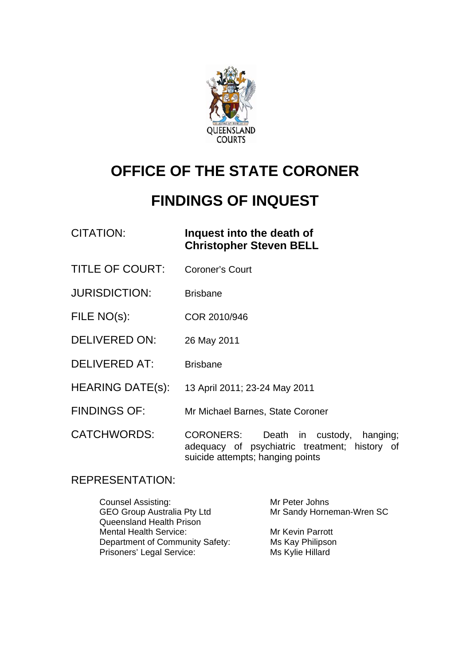

# **OFFICE OF THE STATE CORONER**

# **FINDINGS OF INQUEST**

# CITATION: **Inquest into the death of Christopher Steven BELL**

- TITLE OF COURT: Coroner's Court
- JURISDICTION: Brisbane
- FILE NO(s): COR 2010/946
- DELIVERED ON: 26 May 2011
- DELIVERED AT: Brisbane
- HEARING DATE(s): 13 April 2011; 23-24 May 2011
- FINDINGS OF: Mr Michael Barnes, State Coroner

CATCHWORDS: CORONERS: Death in custody, hanging; adequacy of psychiatric treatment; history of suicide attempts; hanging points

### REPRESENTATION:

| <b>Counsel Assisting:</b>          | Mr Peter Johns            |
|------------------------------------|---------------------------|
| <b>GEO Group Australia Pty Ltd</b> | Mr Sandy Horneman-Wren SC |
| <b>Queensland Health Prison</b>    |                           |
| <b>Mental Health Service:</b>      | Mr Kevin Parrott          |
| Department of Community Safety:    | Ms Kay Philipson          |
| Prisoners' Legal Service:          | Ms Kylie Hillard          |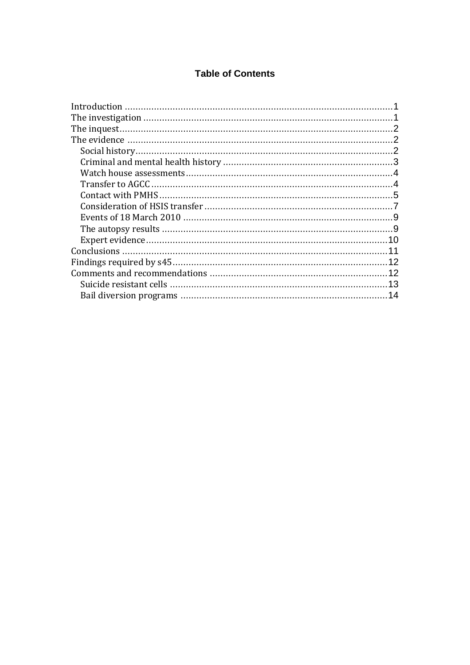### **Table of Contents**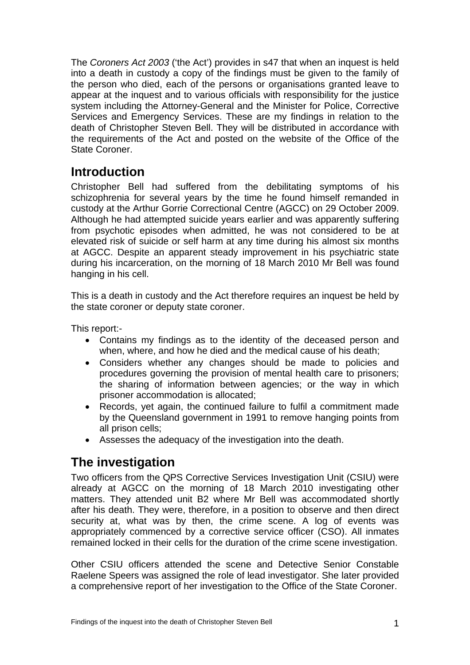<span id="page-2-0"></span>The *Coroners Act 2003* ('the Act') provides in s47 that when an inquest is held into a death in custody a copy of the findings must be given to the family of the person who died, each of the persons or organisations granted leave to appear at the inquest and to various officials with responsibility for the justice system including the Attorney-General and the Minister for Police, Corrective Services and Emergency Services. These are my findings in relation to the death of Christopher Steven Bell. They will be distributed in accordance with the requirements of the Act and posted on the website of the Office of the State Coroner.

# **Introduction**

Christopher Bell had suffered from the debilitating symptoms of his schizophrenia for several years by the time he found himself remanded in custody at the Arthur Gorrie Correctional Centre (AGCC) on 29 October 2009. Although he had attempted suicide years earlier and was apparently suffering from psychotic episodes when admitted, he was not considered to be at elevated risk of suicide or self harm at any time during his almost six months at AGCC. Despite an apparent steady improvement in his psychiatric state during his incarceration, on the morning of 18 March 2010 Mr Bell was found hanging in his cell.

This is a death in custody and the Act therefore requires an inquest be held by the state coroner or deputy state coroner.

This report:-

- Contains my findings as to the identity of the deceased person and when, where, and how he died and the medical cause of his death;
- Considers whether any changes should be made to policies and procedures governing the provision of mental health care to prisoners; the sharing of information between agencies; or the way in which prisoner accommodation is allocated;
- Records, yet again, the continued failure to fulfil a commitment made by the Queensland government in 1991 to remove hanging points from all prison cells;
- Assesses the adequacy of the investigation into the death.

# **The investigation**

Two officers from the QPS Corrective Services Investigation Unit (CSIU) were already at AGCC on the morning of 18 March 2010 investigating other matters. They attended unit B2 where Mr Bell was accommodated shortly after his death. They were, therefore, in a position to observe and then direct security at, what was by then, the crime scene. A log of events was appropriately commenced by a corrective service officer (CSO). All inmates remained locked in their cells for the duration of the crime scene investigation.

Other CSIU officers attended the scene and Detective Senior Constable Raelene Speers was assigned the role of lead investigator. She later provided a comprehensive report of her investigation to the Office of the State Coroner.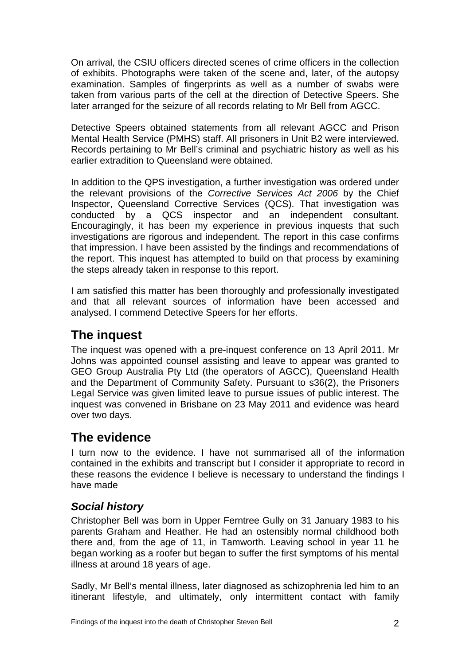<span id="page-3-0"></span>On arrival, the CSIU officers directed scenes of crime officers in the collection of exhibits. Photographs were taken of the scene and, later, of the autopsy examination. Samples of fingerprints as well as a number of swabs were taken from various parts of the cell at the direction of Detective Speers. She later arranged for the seizure of all records relating to Mr Bell from AGCC.

Detective Speers obtained statements from all relevant AGCC and Prison Mental Health Service (PMHS) staff. All prisoners in Unit B2 were interviewed. Records pertaining to Mr Bell's criminal and psychiatric history as well as his earlier extradition to Queensland were obtained.

In addition to the QPS investigation, a further investigation was ordered under the relevant provisions of the *Corrective Services Act 2006* by the Chief Inspector, Queensland Corrective Services (QCS). That investigation was conducted by a QCS inspector and an independent consultant. Encouragingly, it has been my experience in previous inquests that such investigations are rigorous and independent. The report in this case confirms that impression. I have been assisted by the findings and recommendations of the report. This inquest has attempted to build on that process by examining the steps already taken in response to this report.

I am satisfied this matter has been thoroughly and professionally investigated and that all relevant sources of information have been accessed and analysed. I commend Detective Speers for her efforts.

# **The inquest**

The inquest was opened with a pre-inquest conference on 13 April 2011. Mr Johns was appointed counsel assisting and leave to appear was granted to GEO Group Australia Pty Ltd (the operators of AGCC), Queensland Health and the Department of Community Safety. Pursuant to s36(2), the Prisoners Legal Service was given limited leave to pursue issues of public interest. The inquest was convened in Brisbane on 23 May 2011 and evidence was heard over two days.

# **The evidence**

I turn now to the evidence. I have not summarised all of the information contained in the exhibits and transcript but I consider it appropriate to record in these reasons the evidence I believe is necessary to understand the findings I have made

## *Social history*

Christopher Bell was born in Upper Ferntree Gully on 31 January 1983 to his parents Graham and Heather. He had an ostensibly normal childhood both there and, from the age of 11, in Tamworth. Leaving school in year 11 he began working as a roofer but began to suffer the first symptoms of his mental illness at around 18 years of age.

Sadly, Mr Bell's mental illness, later diagnosed as schizophrenia led him to an itinerant lifestyle, and ultimately, only intermittent contact with family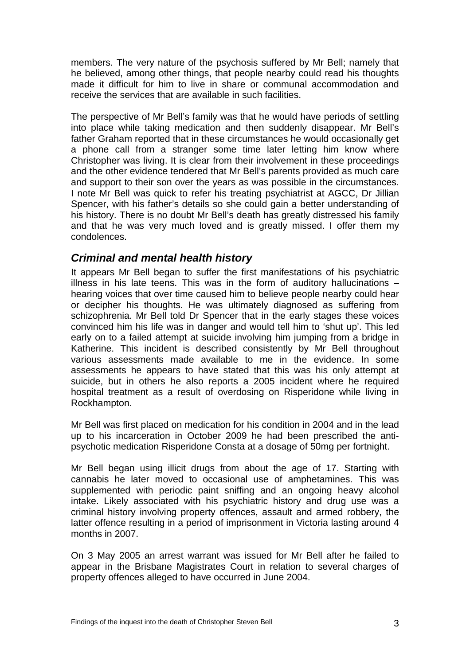<span id="page-4-0"></span>members. The very nature of the psychosis suffered by Mr Bell; namely that he believed, among other things, that people nearby could read his thoughts made it difficult for him to live in share or communal accommodation and receive the services that are available in such facilities.

The perspective of Mr Bell's family was that he would have periods of settling into place while taking medication and then suddenly disappear. Mr Bell's father Graham reported that in these circumstances he would occasionally get a phone call from a stranger some time later letting him know where Christopher was living. It is clear from their involvement in these proceedings and the other evidence tendered that Mr Bell's parents provided as much care and support to their son over the years as was possible in the circumstances. I note Mr Bell was quick to refer his treating psychiatrist at AGCC, Dr Jillian Spencer, with his father's details so she could gain a better understanding of his history. There is no doubt Mr Bell's death has greatly distressed his family and that he was very much loved and is greatly missed. I offer them my condolences.

### *Criminal and mental health history*

It appears Mr Bell began to suffer the first manifestations of his psychiatric illness in his late teens. This was in the form of auditory hallucinations – hearing voices that over time caused him to believe people nearby could hear or decipher his thoughts. He was ultimately diagnosed as suffering from schizophrenia. Mr Bell told Dr Spencer that in the early stages these voices convinced him his life was in danger and would tell him to 'shut up'. This led early on to a failed attempt at suicide involving him jumping from a bridge in Katherine. This incident is described consistently by Mr Bell throughout various assessments made available to me in the evidence. In some assessments he appears to have stated that this was his only attempt at suicide, but in others he also reports a 2005 incident where he required hospital treatment as a result of overdosing on Risperidone while living in Rockhampton.

Mr Bell was first placed on medication for his condition in 2004 and in the lead up to his incarceration in October 2009 he had been prescribed the antipsychotic medication Risperidone Consta at a dosage of 50mg per fortnight.

Mr Bell began using illicit drugs from about the age of 17. Starting with cannabis he later moved to occasional use of amphetamines. This was supplemented with periodic paint sniffing and an ongoing heavy alcohol intake. Likely associated with his psychiatric history and drug use was a criminal history involving property offences, assault and armed robbery, the latter offence resulting in a period of imprisonment in Victoria lasting around 4 months in 2007.

On 3 May 2005 an arrest warrant was issued for Mr Bell after he failed to appear in the Brisbane Magistrates Court in relation to several charges of property offences alleged to have occurred in June 2004.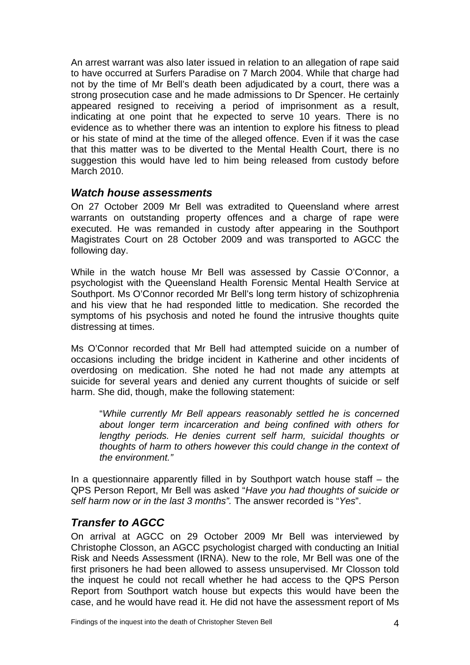<span id="page-5-0"></span>An arrest warrant was also later issued in relation to an allegation of rape said to have occurred at Surfers Paradise on 7 March 2004. While that charge had not by the time of Mr Bell's death been adjudicated by a court, there was a strong prosecution case and he made admissions to Dr Spencer. He certainly appeared resigned to receiving a period of imprisonment as a result, indicating at one point that he expected to serve 10 years. There is no evidence as to whether there was an intention to explore his fitness to plead or his state of mind at the time of the alleged offence. Even if it was the case that this matter was to be diverted to the Mental Health Court, there is no suggestion this would have led to him being released from custody before March 2010.

#### *Watch house assessments*

On 27 October 2009 Mr Bell was extradited to Queensland where arrest warrants on outstanding property offences and a charge of rape were executed. He was remanded in custody after appearing in the Southport Magistrates Court on 28 October 2009 and was transported to AGCC the following day.

While in the watch house Mr Bell was assessed by Cassie O'Connor, a psychologist with the Queensland Health Forensic Mental Health Service at Southport. Ms O'Connor recorded Mr Bell's long term history of schizophrenia and his view that he had responded little to medication. She recorded the symptoms of his psychosis and noted he found the intrusive thoughts quite distressing at times.

Ms O'Connor recorded that Mr Bell had attempted suicide on a number of occasions including the bridge incident in Katherine and other incidents of overdosing on medication. She noted he had not made any attempts at suicide for several years and denied any current thoughts of suicide or self harm. She did, though, make the following statement:

"*While currently Mr Bell appears reasonably settled he is concerned about longer term incarceration and being confined with others for lengthy periods. He denies current self harm, suicidal thoughts or thoughts of harm to others however this could change in the context of the environment."* 

In a questionnaire apparently filled in by Southport watch house staff – the QPS Person Report, Mr Bell was asked "*Have you had thoughts of suicide or self harm now or in the last 3 months".* The answer recorded is "*Yes*".

### *Transfer to AGCC*

On arrival at AGCC on 29 October 2009 Mr Bell was interviewed by Christophe Closson, an AGCC psychologist charged with conducting an Initial Risk and Needs Assessment (IRNA). New to the role, Mr Bell was one of the first prisoners he had been allowed to assess unsupervised. Mr Closson told the inquest he could not recall whether he had access to the QPS Person Report from Southport watch house but expects this would have been the case, and he would have read it. He did not have the assessment report of Ms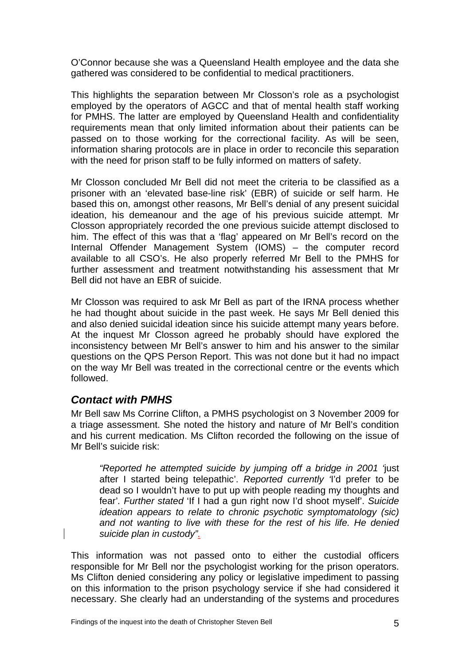<span id="page-6-0"></span>O'Connor because she was a Queensland Health employee and the data she gathered was considered to be confidential to medical practitioners.

This highlights the separation between Mr Closson's role as a psychologist employed by the operators of AGCC and that of mental health staff working for PMHS. The latter are employed by Queensland Health and confidentiality requirements mean that only limited information about their patients can be passed on to those working for the correctional facility. As will be seen, information sharing protocols are in place in order to reconcile this separation with the need for prison staff to be fully informed on matters of safety.

Mr Closson concluded Mr Bell did not meet the criteria to be classified as a prisoner with an 'elevated base-line risk' (EBR) of suicide or self harm. He based this on, amongst other reasons, Mr Bell's denial of any present suicidal ideation, his demeanour and the age of his previous suicide attempt. Mr Closson appropriately recorded the one previous suicide attempt disclosed to him. The effect of this was that a 'flag' appeared on Mr Bell's record on the Internal Offender Management System (IOMS) – the computer record available to all CSO's. He also properly referred Mr Bell to the PMHS for further assessment and treatment notwithstanding his assessment that Mr Bell did not have an EBR of suicide.

Mr Closson was required to ask Mr Bell as part of the IRNA process whether he had thought about suicide in the past week. He says Mr Bell denied this and also denied suicidal ideation since his suicide attempt many years before. At the inquest Mr Closson agreed he probably should have explored the inconsistency between Mr Bell's answer to him and his answer to the similar questions on the QPS Person Report. This was not done but it had no impact on the way Mr Bell was treated in the correctional centre or the events which followed.

### *Contact with PMHS*

Mr Bell saw Ms Corrine Clifton, a PMHS psychologist on 3 November 2009 for a triage assessment. She noted the history and nature of Mr Bell's condition and his current medication. Ms Clifton recorded the following on the issue of Mr Bell's suicide risk:

*"Reported he attempted suicide by jumping off a bridge in 2001 '*just after I started being telepathic'. *Reported currently '*I'd prefer to be dead so I wouldn't have to put up with people reading my thoughts and fear'*. Further stated* 'If I had a gun right now I'd shoot myself'. *Suicide ideation appears to relate to chronic psychotic symptomatology (sic) and not wanting to live with these for the rest of his life. He denied suicide plan in custody".*

This information was not passed onto to either the custodial officers responsible for Mr Bell nor the psychologist working for the prison operators. Ms Clifton denied considering any policy or legislative impediment to passing on this information to the prison psychology service if she had considered it necessary. She clearly had an understanding of the systems and procedures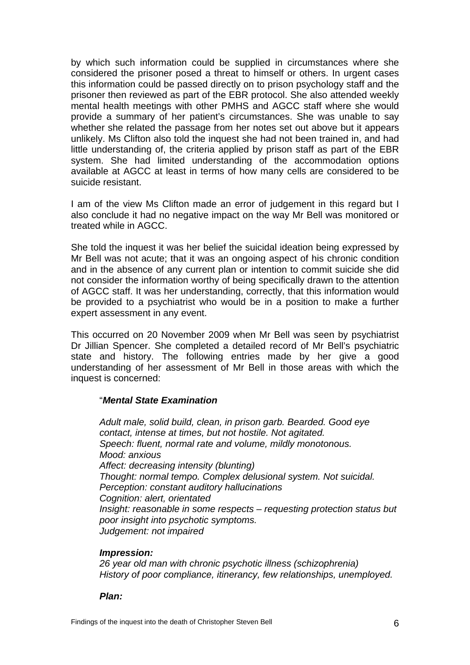by which such information could be supplied in circumstances where she considered the prisoner posed a threat to himself or others. In urgent cases this information could be passed directly on to prison psychology staff and the prisoner then reviewed as part of the EBR protocol. She also attended weekly mental health meetings with other PMHS and AGCC staff where she would provide a summary of her patient's circumstances. She was unable to say whether she related the passage from her notes set out above but it appears unlikely. Ms Clifton also told the inquest she had not been trained in, and had little understanding of, the criteria applied by prison staff as part of the EBR system. She had limited understanding of the accommodation options available at AGCC at least in terms of how many cells are considered to be suicide resistant.

I am of the view Ms Clifton made an error of judgement in this regard but I also conclude it had no negative impact on the way Mr Bell was monitored or treated while in AGCC.

She told the inquest it was her belief the suicidal ideation being expressed by Mr Bell was not acute; that it was an ongoing aspect of his chronic condition and in the absence of any current plan or intention to commit suicide she did not consider the information worthy of being specifically drawn to the attention of AGCC staff. It was her understanding, correctly, that this information would be provided to a psychiatrist who would be in a position to make a further expert assessment in any event.

This occurred on 20 November 2009 when Mr Bell was seen by psychiatrist Dr Jillian Spencer. She completed a detailed record of Mr Bell's psychiatric state and history. The following entries made by her give a good understanding of her assessment of Mr Bell in those areas with which the inquest is concerned:

#### "*Mental State Examination*

*Adult male, solid build, clean, in prison garb. Bearded. Good eye contact, intense at times, but not hostile. Not agitated. Speech: fluent, normal rate and volume, mildly monotonous. Mood: anxious Affect: decreasing intensity (blunting) Thought: normal tempo. Complex delusional system. Not suicidal. Perception: constant auditory hallucinations Cognition: alert, orientated Insight: reasonable in some respects – requesting protection status but poor insight into psychotic symptoms. Judgement: not impaired* 

#### *Impression:*

*26 year old man with chronic psychotic illness (schizophrenia) History of poor compliance, itinerancy, few relationships, unemployed.* 

#### *Plan:*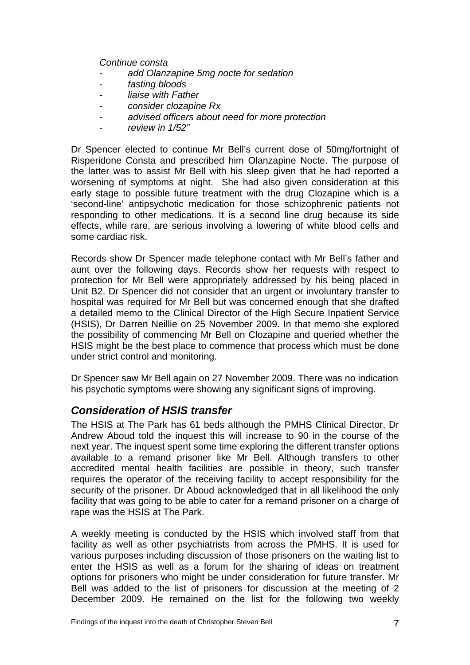<span id="page-8-0"></span>*Continue consta* 

- *add Olanzapine 5mg nocte for sedation*
- fasting **bloods**
- *liaise with Father*
- *consider clozapine Rx*
- *advised officers about need for more protection*
- *review in 1/52"*

Dr Spencer elected to continue Mr Bell's current dose of 50mg/fortnight of Risperidone Consta and prescribed him Olanzapine Nocte. The purpose of the latter was to assist Mr Bell with his sleep given that he had reported a worsening of symptoms at night. She had also given consideration at this early stage to possible future treatment with the drug Clozapine which is a 'second-line' antipsychotic medication for those schizophrenic patients not responding to other medications. It is a second line drug because its side effects, while rare, are serious involving a lowering of white blood cells and some cardiac risk.

Records show Dr Spencer made telephone contact with Mr Bell's father and aunt over the following days. Records show her requests with respect to protection for Mr Bell were appropriately addressed by his being placed in Unit B2. Dr Spencer did not consider that an urgent or involuntary transfer to hospital was required for Mr Bell but was concerned enough that she drafted a detailed memo to the Clinical Director of the High Secure Inpatient Service (HSIS), Dr Darren Neillie on 25 November 2009. In that memo she explored the possibility of commencing Mr Bell on Clozapine and queried whether the HSIS might be the best place to commence that process which must be done under strict control and monitoring.

Dr Spencer saw Mr Bell again on 27 November 2009. There was no indication his psychotic symptoms were showing any significant signs of improving.

#### *Consideration of HSIS transfer*

The HSIS at The Park has 61 beds although the PMHS Clinical Director, Dr Andrew Aboud told the inquest this will increase to 90 in the course of the next year. The inquest spent some time exploring the different transfer options available to a remand prisoner like Mr Bell. Although transfers to other accredited mental health facilities are possible in theory, such transfer requires the operator of the receiving facility to accept responsibility for the security of the prisoner. Dr Aboud acknowledged that in all likelihood the only facility that was going to be able to cater for a remand prisoner on a charge of rape was the HSIS at The Park.

A weekly meeting is conducted by the HSIS which involved staff from that facility as well as other psychiatrists from across the PMHS. It is used for various purposes including discussion of those prisoners on the waiting list to enter the HSIS as well as a forum for the sharing of ideas on treatment options for prisoners who might be under consideration for future transfer. Mr Bell was added to the list of prisoners for discussion at the meeting of 2 December 2009. He remained on the list for the following two weekly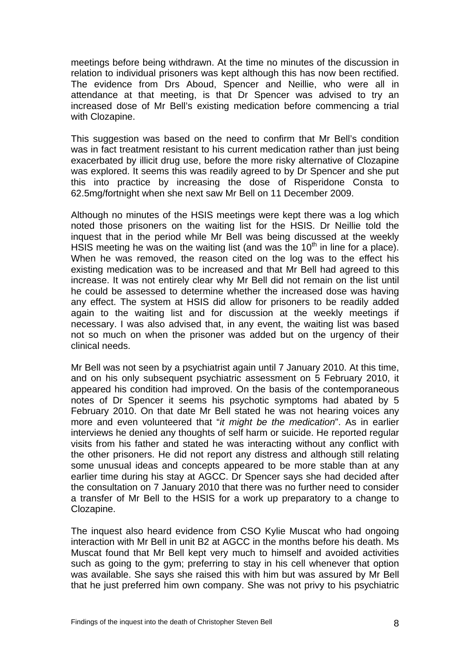meetings before being withdrawn. At the time no minutes of the discussion in relation to individual prisoners was kept although this has now been rectified. The evidence from Drs Aboud, Spencer and Neillie, who were all in attendance at that meeting, is that Dr Spencer was advised to try an increased dose of Mr Bell's existing medication before commencing a trial with Clozapine.

This suggestion was based on the need to confirm that Mr Bell's condition was in fact treatment resistant to his current medication rather than just being exacerbated by illicit drug use, before the more risky alternative of Clozapine was explored. It seems this was readily agreed to by Dr Spencer and she put this into practice by increasing the dose of Risperidone Consta to 62.5mg/fortnight when she next saw Mr Bell on 11 December 2009.

Although no minutes of the HSIS meetings were kept there was a log which noted those prisoners on the waiting list for the HSIS. Dr Neillie told the inquest that in the period while Mr Bell was being discussed at the weekly HSIS meeting he was on the waiting list (and was the  $10<sup>th</sup>$  in line for a place). When he was removed, the reason cited on the log was to the effect his existing medication was to be increased and that Mr Bell had agreed to this increase. It was not entirely clear why Mr Bell did not remain on the list until he could be assessed to determine whether the increased dose was having any effect. The system at HSIS did allow for prisoners to be readily added again to the waiting list and for discussion at the weekly meetings if necessary. I was also advised that, in any event, the waiting list was based not so much on when the prisoner was added but on the urgency of their clinical needs.

Mr Bell was not seen by a psychiatrist again until 7 January 2010. At this time, and on his only subsequent psychiatric assessment on 5 February 2010, it appeared his condition had improved. On the basis of the contemporaneous notes of Dr Spencer it seems his psychotic symptoms had abated by 5 February 2010. On that date Mr Bell stated he was not hearing voices any more and even volunteered that "*it might be the medication*". As in earlier interviews he denied any thoughts of self harm or suicide. He reported regular visits from his father and stated he was interacting without any conflict with the other prisoners. He did not report any distress and although still relating some unusual ideas and concepts appeared to be more stable than at any earlier time during his stay at AGCC. Dr Spencer says she had decided after the consultation on 7 January 2010 that there was no further need to consider a transfer of Mr Bell to the HSIS for a work up preparatory to a change to Clozapine.

The inquest also heard evidence from CSO Kylie Muscat who had ongoing interaction with Mr Bell in unit B2 at AGCC in the months before his death. Ms Muscat found that Mr Bell kept very much to himself and avoided activities such as going to the gym; preferring to stay in his cell whenever that option was available. She says she raised this with him but was assured by Mr Bell that he just preferred him own company. She was not privy to his psychiatric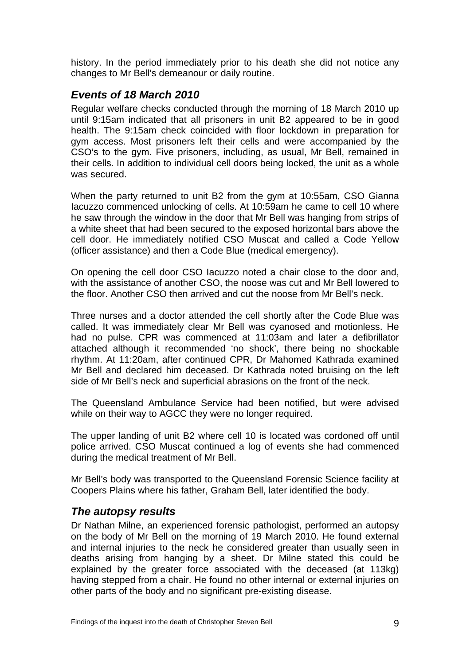<span id="page-10-0"></span>history. In the period immediately prior to his death she did not notice any changes to Mr Bell's demeanour or daily routine.

## *Events of 18 March 2010*

Regular welfare checks conducted through the morning of 18 March 2010 up until 9:15am indicated that all prisoners in unit B2 appeared to be in good health. The 9:15am check coincided with floor lockdown in preparation for gym access. Most prisoners left their cells and were accompanied by the CSO's to the gym. Five prisoners, including, as usual, Mr Bell, remained in their cells. In addition to individual cell doors being locked, the unit as a whole was secured.

When the party returned to unit B2 from the gym at 10:55am, CSO Gianna Iacuzzo commenced unlocking of cells. At 10:59am he came to cell 10 where he saw through the window in the door that Mr Bell was hanging from strips of a white sheet that had been secured to the exposed horizontal bars above the cell door. He immediately notified CSO Muscat and called a Code Yellow (officer assistance) and then a Code Blue (medical emergency).

On opening the cell door CSO Iacuzzo noted a chair close to the door and, with the assistance of another CSO, the noose was cut and Mr Bell lowered to the floor. Another CSO then arrived and cut the noose from Mr Bell's neck.

Three nurses and a doctor attended the cell shortly after the Code Blue was called. It was immediately clear Mr Bell was cyanosed and motionless. He had no pulse. CPR was commenced at 11:03am and later a defibrillator attached although it recommended 'no shock', there being no shockable rhythm. At 11:20am, after continued CPR, Dr Mahomed Kathrada examined Mr Bell and declared him deceased. Dr Kathrada noted bruising on the left side of Mr Bell's neck and superficial abrasions on the front of the neck.

The Queensland Ambulance Service had been notified, but were advised while on their way to AGCC they were no longer required.

The upper landing of unit B2 where cell 10 is located was cordoned off until police arrived. CSO Muscat continued a log of events she had commenced during the medical treatment of Mr Bell.

Mr Bell's body was transported to the Queensland Forensic Science facility at Coopers Plains where his father, Graham Bell, later identified the body.

### *The autopsy results*

Dr Nathan Milne, an experienced forensic pathologist, performed an autopsy on the body of Mr Bell on the morning of 19 March 2010. He found external and internal injuries to the neck he considered greater than usually seen in deaths arising from hanging by a sheet. Dr Milne stated this could be explained by the greater force associated with the deceased (at 113kg) having stepped from a chair. He found no other internal or external injuries on other parts of the body and no significant pre-existing disease.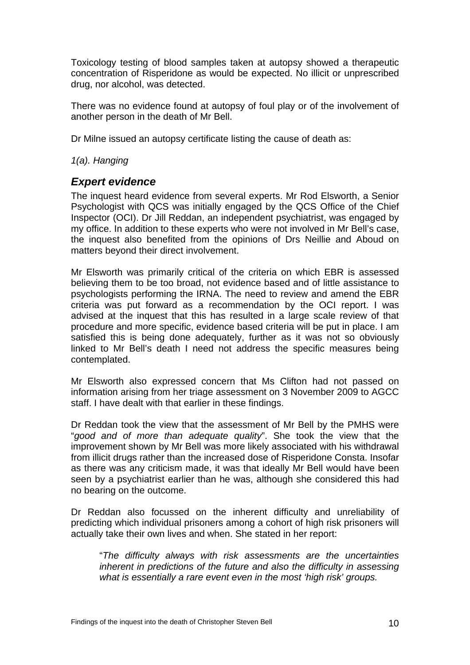<span id="page-11-0"></span>Toxicology testing of blood samples taken at autopsy showed a therapeutic concentration of Risperidone as would be expected. No illicit or unprescribed drug, nor alcohol, was detected.

There was no evidence found at autopsy of foul play or of the involvement of another person in the death of Mr Bell.

Dr Milne issued an autopsy certificate listing the cause of death as:

*1(a). Hanging* 

### *Expert evidence*

The inquest heard evidence from several experts. Mr Rod Elsworth, a Senior Psychologist with QCS was initially engaged by the QCS Office of the Chief Inspector (OCI). Dr Jill Reddan, an independent psychiatrist, was engaged by my office. In addition to these experts who were not involved in Mr Bell's case, the inquest also benefited from the opinions of Drs Neillie and Aboud on matters beyond their direct involvement.

Mr Elsworth was primarily critical of the criteria on which EBR is assessed believing them to be too broad, not evidence based and of little assistance to psychologists performing the IRNA. The need to review and amend the EBR criteria was put forward as a recommendation by the OCI report. I was advised at the inquest that this has resulted in a large scale review of that procedure and more specific, evidence based criteria will be put in place. I am satisfied this is being done adequately, further as it was not so obviously linked to Mr Bell's death I need not address the specific measures being contemplated.

Mr Elsworth also expressed concern that Ms Clifton had not passed on information arising from her triage assessment on 3 November 2009 to AGCC staff. I have dealt with that earlier in these findings.

Dr Reddan took the view that the assessment of Mr Bell by the PMHS were "*good and of more than adequate quality*". She took the view that the improvement shown by Mr Bell was more likely associated with his withdrawal from illicit drugs rather than the increased dose of Risperidone Consta. Insofar as there was any criticism made, it was that ideally Mr Bell would have been seen by a psychiatrist earlier than he was, although she considered this had no bearing on the outcome.

Dr Reddan also focussed on the inherent difficulty and unreliability of predicting which individual prisoners among a cohort of high risk prisoners will actually take their own lives and when. She stated in her report:

"*The difficulty always with risk assessments are the uncertainties inherent in predictions of the future and also the difficulty in assessing what is essentially a rare event even in the most 'high risk' groups.*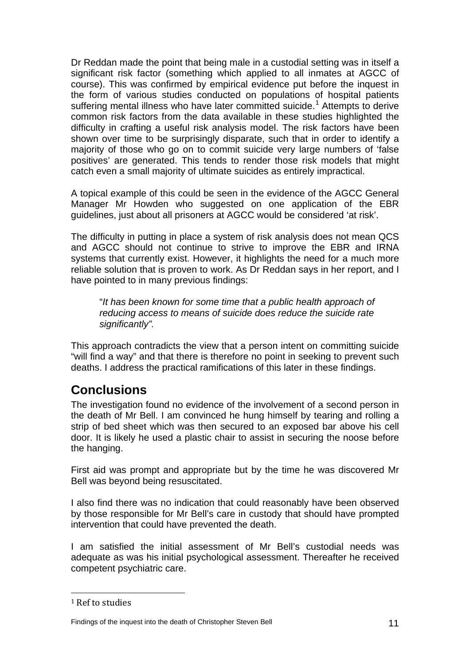<span id="page-12-0"></span>Dr Reddan made the point that being male in a custodial setting was in itself a significant risk factor (something which applied to all inmates at AGCC of course). This was confirmed by empirical evidence put before the inquest in the form of various studies conducted on populations of hospital patients suffering mental illness who have later committed suicide.<sup>[1](#page-12-1)</sup> Attempts to derive common risk factors from the data available in these studies highlighted the difficulty in crafting a useful risk analysis model. The risk factors have been shown over time to be surprisingly disparate, such that in order to identify a majority of those who go on to commit suicide very large numbers of 'false positives' are generated. This tends to render those risk models that might catch even a small majority of ultimate suicides as entirely impractical.

A topical example of this could be seen in the evidence of the AGCC General Manager Mr Howden who suggested on one application of the EBR guidelines, just about all prisoners at AGCC would be considered 'at risk'.

The difficulty in putting in place a system of risk analysis does not mean QCS and AGCC should not continue to strive to improve the EBR and IRNA systems that currently exist. However, it highlights the need for a much more reliable solution that is proven to work. As Dr Reddan says in her report, and I have pointed to in many previous findings:

"*It has been known for some time that a public health approach of reducing access to means of suicide does reduce the suicide rate significantly".* 

This approach contradicts the view that a person intent on committing suicide "will find a way" and that there is therefore no point in seeking to prevent such deaths. I address the practical ramifications of this later in these findings.

# **Conclusions**

The investigation found no evidence of the involvement of a second person in the death of Mr Bell. I am convinced he hung himself by tearing and rolling a strip of bed sheet which was then secured to an exposed bar above his cell door. It is likely he used a plastic chair to assist in securing the noose before the hanging.

First aid was prompt and appropriate but by the time he was discovered Mr Bell was beyond being resuscitated.

I also find there was no indication that could reasonably have been observed by those responsible for Mr Bell's care in custody that should have prompted intervention that could have prevented the death.

I am satisfied the initial assessment of Mr Bell's custodial needs was adequate as was his initial psychological assessment. Thereafter he received competent psychiatric care.

<span id="page-12-1"></span><sup>1</sup> Ref to studies

Findings of the inquest into the death of Christopher Steven Bell 11 and 11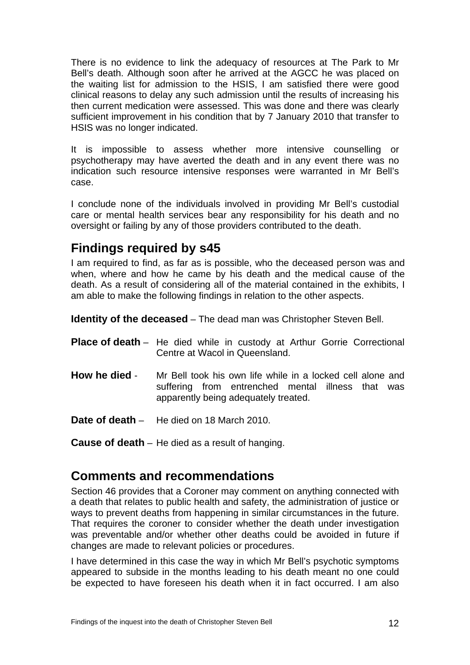<span id="page-13-0"></span>There is no evidence to link the adequacy of resources at The Park to Mr Bell's death. Although soon after he arrived at the AGCC he was placed on the waiting list for admission to the HSIS, I am satisfied there were good clinical reasons to delay any such admission until the results of increasing his then current medication were assessed. This was done and there was clearly sufficient improvement in his condition that by 7 January 2010 that transfer to HSIS was no longer indicated.

It is impossible to assess whether more intensive counselling or psychotherapy may have averted the death and in any event there was no indication such resource intensive responses were warranted in Mr Bell's case.

I conclude none of the individuals involved in providing Mr Bell's custodial care or mental health services bear any responsibility for his death and no oversight or failing by any of those providers contributed to the death.

# **Findings required by s45**

I am required to find, as far as is possible, who the deceased person was and when, where and how he came by his death and the medical cause of the death. As a result of considering all of the material contained in the exhibits, I am able to make the following findings in relation to the other aspects.

**Identity of the deceased** – The dead man was Christopher Steven Bell.

- **Place of death** He died while in custody at Arthur Gorrie Correctional Centre at Wacol in Queensland.
- **How he died** Mr Bell took his own life while in a locked cell alone and suffering from entrenched mental illness that was apparently being adequately treated.
- **Date of death** He died on 18 March 2010.
- **Cause of death** He died as a result of hanging.

# **Comments and recommendations**

Section 46 provides that a Coroner may comment on anything connected with a death that relates to public health and safety, the administration of justice or ways to prevent deaths from happening in similar circumstances in the future. That requires the coroner to consider whether the death under investigation was preventable and/or whether other deaths could be avoided in future if changes are made to relevant policies or procedures.

I have determined in this case the way in which Mr Bell's psychotic symptoms appeared to subside in the months leading to his death meant no one could be expected to have foreseen his death when it in fact occurred. I am also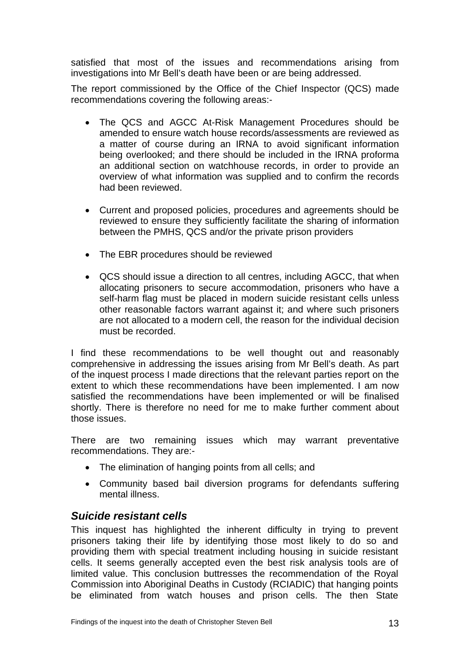<span id="page-14-0"></span>satisfied that most of the issues and recommendations arising from investigations into Mr Bell's death have been or are being addressed.

The report commissioned by the Office of the Chief Inspector (QCS) made recommendations covering the following areas:-

- The QCS and AGCC At-Risk Management Procedures should be amended to ensure watch house records/assessments are reviewed as a matter of course during an IRNA to avoid significant information being overlooked; and there should be included in the IRNA proforma an additional section on watchhouse records, in order to provide an overview of what information was supplied and to confirm the records had been reviewed.
- Current and proposed policies, procedures and agreements should be reviewed to ensure they sufficiently facilitate the sharing of information between the PMHS, QCS and/or the private prison providers
- The EBR procedures should be reviewed
- QCS should issue a direction to all centres, including AGCC, that when allocating prisoners to secure accommodation, prisoners who have a self-harm flag must be placed in modern suicide resistant cells unless other reasonable factors warrant against it; and where such prisoners are not allocated to a modern cell, the reason for the individual decision must be recorded.

I find these recommendations to be well thought out and reasonably comprehensive in addressing the issues arising from Mr Bell's death. As part of the inquest process I made directions that the relevant parties report on the extent to which these recommendations have been implemented. I am now satisfied the recommendations have been implemented or will be finalised shortly. There is therefore no need for me to make further comment about those issues.

There are two remaining issues which may warrant preventative recommendations. They are:-

- The elimination of hanging points from all cells; and
- Community based bail diversion programs for defendants suffering mental illness.

### *Suicide resistant cells*

This inquest has highlighted the inherent difficulty in trying to prevent prisoners taking their life by identifying those most likely to do so and providing them with special treatment including housing in suicide resistant cells. It seems generally accepted even the best risk analysis tools are of limited value. This conclusion buttresses the recommendation of the Royal Commission into Aboriginal Deaths in Custody (RCIADIC) that hanging points be eliminated from watch houses and prison cells. The then State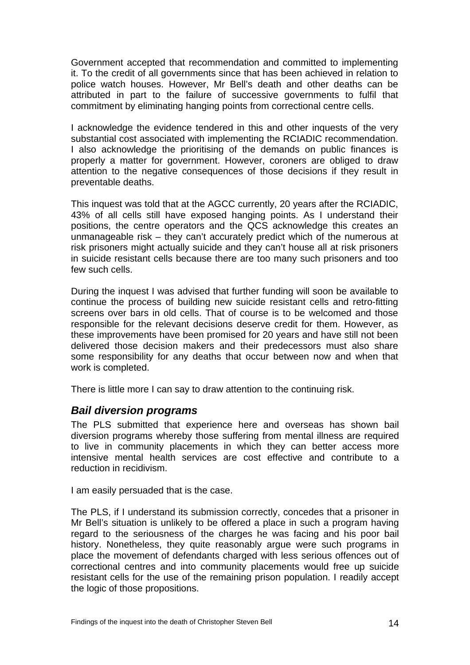<span id="page-15-0"></span>Government accepted that recommendation and committed to implementing it. To the credit of all governments since that has been achieved in relation to police watch houses. However, Mr Bell's death and other deaths can be attributed in part to the failure of successive governments to fulfil that commitment by eliminating hanging points from correctional centre cells.

I acknowledge the evidence tendered in this and other inquests of the very substantial cost associated with implementing the RCIADIC recommendation. I also acknowledge the prioritising of the demands on public finances is properly a matter for government. However, coroners are obliged to draw attention to the negative consequences of those decisions if they result in preventable deaths.

This inquest was told that at the AGCC currently, 20 years after the RCIADIC, 43% of all cells still have exposed hanging points. As I understand their positions, the centre operators and the QCS acknowledge this creates an unmanageable risk – they can't accurately predict which of the numerous at risk prisoners might actually suicide and they can't house all at risk prisoners in suicide resistant cells because there are too many such prisoners and too few such cells.

During the inquest I was advised that further funding will soon be available to continue the process of building new suicide resistant cells and retro-fitting screens over bars in old cells. That of course is to be welcomed and those responsible for the relevant decisions deserve credit for them. However, as these improvements have been promised for 20 years and have still not been delivered those decision makers and their predecessors must also share some responsibility for any deaths that occur between now and when that work is completed.

There is little more I can say to draw attention to the continuing risk.

#### *Bail diversion programs*

The PLS submitted that experience here and overseas has shown bail diversion programs whereby those suffering from mental illness are required to live in community placements in which they can better access more intensive mental health services are cost effective and contribute to a reduction in recidivism.

I am easily persuaded that is the case.

The PLS, if I understand its submission correctly, concedes that a prisoner in Mr Bell's situation is unlikely to be offered a place in such a program having regard to the seriousness of the charges he was facing and his poor bail history. Nonetheless, they quite reasonably argue were such programs in place the movement of defendants charged with less serious offences out of correctional centres and into community placements would free up suicide resistant cells for the use of the remaining prison population. I readily accept the logic of those propositions.